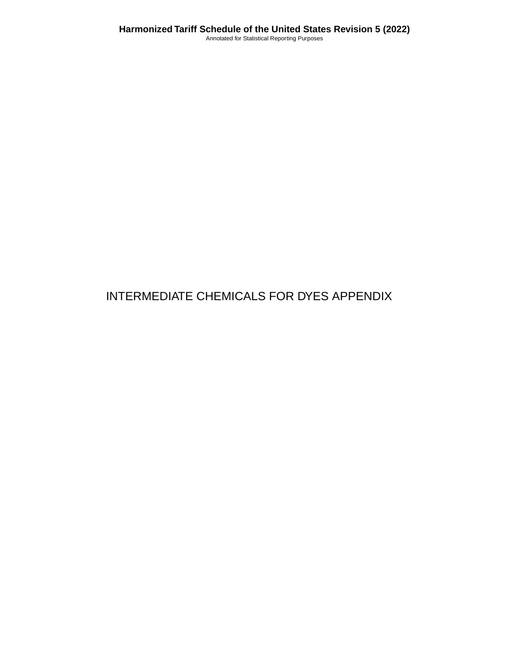# INTERMEDIATE CHEMICALS FOR DYES APPENDIX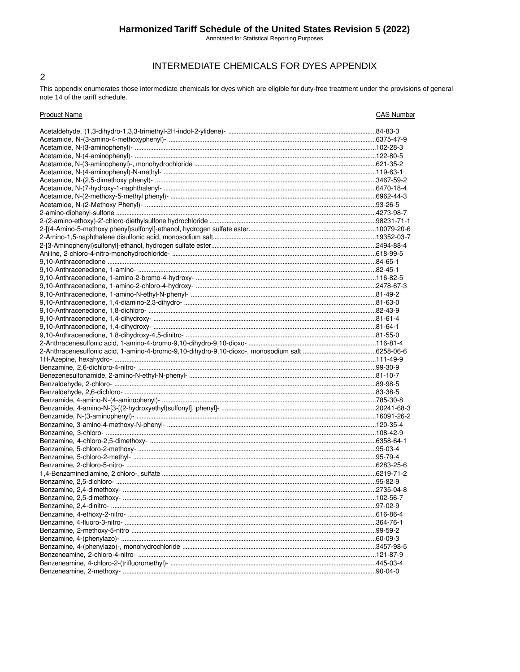## Harmonized Tariff Schedule of the United States Revision 5 (2022)

Annotated for Statistical Reporting Purposes

## INTERMEDIATE CHEMICALS FOR DYES APPENDIX

This appendix enumerates those intermediate chemicals for dyes which are eligible for duty-free treatment under the provisions of general note 14 of the tariff schedule.

 $\overline{2}$ 

| <b>Product Name</b>       | <b>CAS Number</b> |
|---------------------------|-------------------|
|                           |                   |
|                           |                   |
|                           |                   |
|                           |                   |
|                           |                   |
|                           |                   |
|                           |                   |
|                           |                   |
|                           |                   |
|                           |                   |
|                           |                   |
|                           |                   |
|                           |                   |
|                           |                   |
|                           |                   |
|                           |                   |
|                           |                   |
|                           |                   |
|                           |                   |
|                           |                   |
|                           |                   |
|                           |                   |
|                           |                   |
|                           |                   |
|                           |                   |
|                           |                   |
|                           |                   |
|                           |                   |
|                           |                   |
|                           |                   |
|                           |                   |
|                           |                   |
|                           |                   |
|                           |                   |
|                           |                   |
|                           |                   |
|                           |                   |
|                           |                   |
|                           |                   |
|                           |                   |
|                           |                   |
|                           |                   |
|                           |                   |
|                           |                   |
| Benzamine, 2.4-dimethoxy- |                   |
|                           |                   |
|                           |                   |
|                           |                   |
|                           |                   |
|                           |                   |
|                           |                   |
|                           |                   |
|                           |                   |
|                           |                   |
|                           |                   |
|                           |                   |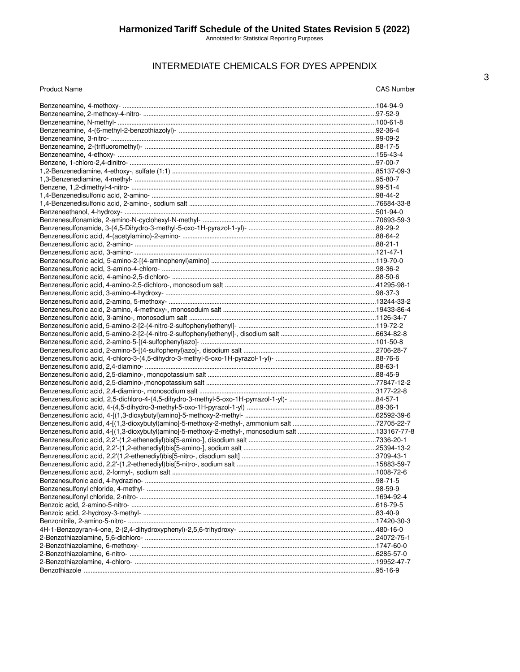## INTERMEDIATE CHEMICALS FOR DYES APPENDIX

| <b>Product Name</b> | <b>CAS Number</b> |
|---------------------|-------------------|
|                     |                   |
|                     |                   |
|                     |                   |
|                     |                   |
|                     |                   |
|                     |                   |
|                     |                   |
|                     |                   |
|                     |                   |
|                     |                   |
|                     |                   |
|                     |                   |
|                     |                   |
|                     |                   |
|                     |                   |
|                     |                   |
|                     |                   |
|                     |                   |
|                     |                   |
|                     |                   |
|                     |                   |
|                     |                   |
|                     |                   |
|                     |                   |
|                     |                   |
|                     |                   |
|                     |                   |
|                     |                   |
|                     |                   |
|                     |                   |
|                     |                   |
|                     |                   |
|                     |                   |
|                     |                   |
|                     |                   |
|                     |                   |
|                     |                   |
|                     |                   |
|                     |                   |
|                     |                   |
|                     |                   |
|                     |                   |
|                     |                   |
|                     |                   |
|                     |                   |
|                     |                   |
|                     |                   |
|                     |                   |
|                     |                   |
|                     |                   |
|                     |                   |
|                     |                   |
|                     |                   |
|                     |                   |
|                     |                   |
|                     |                   |
|                     |                   |
|                     |                   |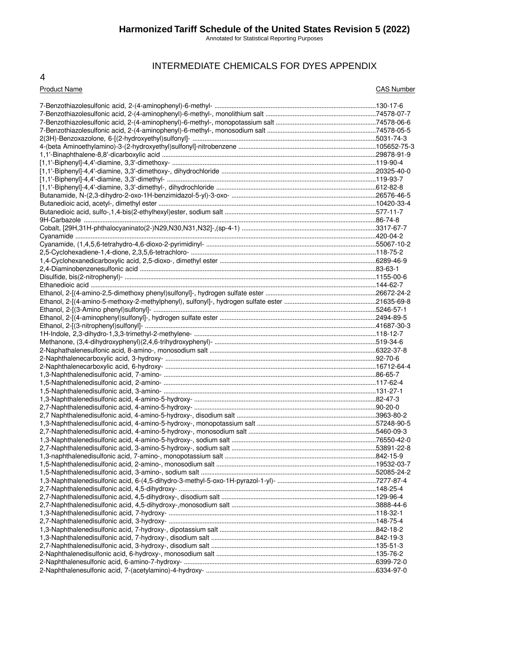Annotated for Statistical Reporting Purposes

## INTERMEDIATE CHEMICALS FOR DYES APPENDIX

#### 4

#### Product Name CAS Number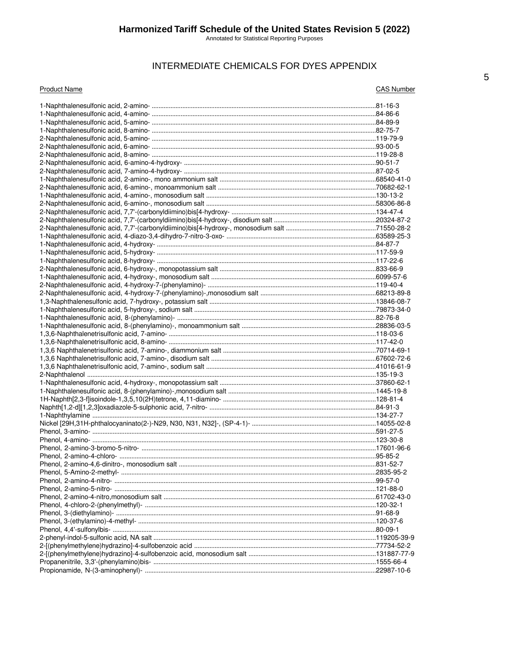Annotated for Statistical Reporting Purposes

## INTERMEDIATE CHEMICALS FOR DYES APPENDIX

**CAS Number**